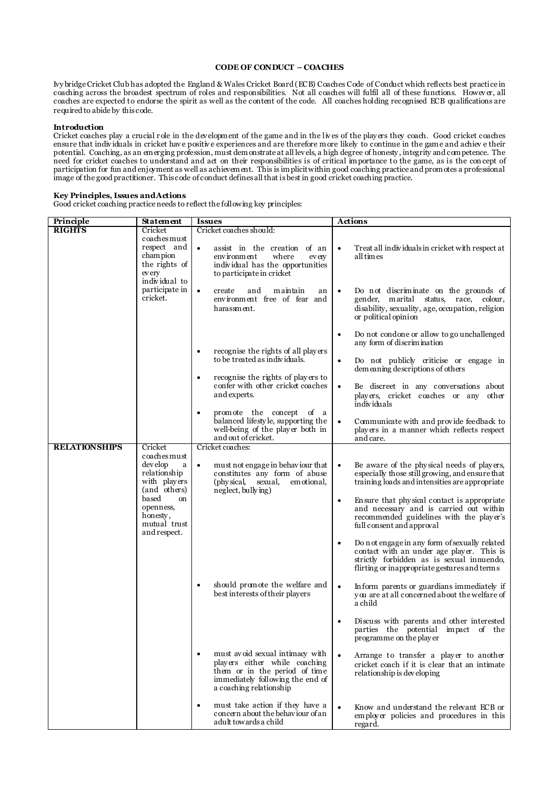## **CODE OF CONDUCT – COACHES**

Ivy bridge Cricket Club has adopted the England & Wales Cricket Board (ECB) Coaches Code of Conduct which reflects best practice in coaching across the broadest spectrum of roles and responsibilities. Not all coaches will fulfil all of these functions. Howev er, all coaches are expected to endorse the spirit as well as the content of the code. All coaches holding recognised ECB qualifications are required to abide by this code.

## **Introduction**

Cricket coaches play a crucial r ole in the dev elopment of the game and in the liv es of the play ers they coach. Good cricket coaches ensure that indiv iduals in cricket hav e positiv e experiences and are therefore more likely to continue in the game and achiev e their potential. Coaching, as an emerging profession, must demonstrate at all lev els, a high degree of honesty , integrity and competence. The need for cricket coaches to understand and act on their responsibilities is of critical importance to the game, as is the con cept of participation for fun and enjoyment as well as achievement. This is implicit within good coaching practice and promotes a professional image of the good practitioner. This code of conduct defines all that is best in good cricket coaching practice.

## **Key Principles, Issues and Actions**

Good cricket coaching practice needs to reflect the following key principles:

| Principle            | <b>Statement</b>                                                                                                                                                                           | <b>Issues</b>                                                                                                                                                                 | <b>Actions</b>                                                                                                                                                                                       |  |
|----------------------|--------------------------------------------------------------------------------------------------------------------------------------------------------------------------------------------|-------------------------------------------------------------------------------------------------------------------------------------------------------------------------------|------------------------------------------------------------------------------------------------------------------------------------------------------------------------------------------------------|--|
| <b>RIGHTS</b>        | Cricket                                                                                                                                                                                    | Cricket coaches should:                                                                                                                                                       |                                                                                                                                                                                                      |  |
|                      | coaches must<br>respect and<br>cham pion<br>the rights of<br>ev ery<br>individual to<br>participate in<br>cricket.                                                                         | $\bullet$<br>assist in the creation of an<br>environment<br>where<br>ev ery<br>individual has the opportunities<br>to participate in cricket                                  | Treat all individuals in cricket with respect at<br>$\bullet$<br>all times                                                                                                                           |  |
|                      |                                                                                                                                                                                            | create<br>and<br>maintain<br>$\bullet$<br>an<br>environment free of fear and<br>harassment.                                                                                   | Do not discriminate on the grounds of<br>$\bullet$<br>gender, marital status, race, colour,<br>disability, sexuality, age, occupation, religion<br>or political opinion                              |  |
|                      |                                                                                                                                                                                            | recognise the rights of all players                                                                                                                                           | Do not condone or allow to go unchallenged<br>$\bullet$<br>any form of discrimination                                                                                                                |  |
|                      |                                                                                                                                                                                            | to be treated as individuals.                                                                                                                                                 | Do not publicly criticise or engage in<br>$\bullet$<br>dem eaning descriptions of others                                                                                                             |  |
|                      |                                                                                                                                                                                            | recognise the rights of players to<br>$\bullet$<br>confer with other cricket coaches<br>and experts.                                                                          | Be discreet in any conversations about<br>$\bullet$<br>players, cricket coaches or any other<br>individuals                                                                                          |  |
|                      |                                                                                                                                                                                            | promote the concept of a<br>$\bullet$<br>balanced lifestyle, supporting the<br>well-being of the player both in<br>and out of cricket.                                        | Communicate with and provide feedback to<br>$\bullet$<br>players in a manner which reflects respect<br>and care.                                                                                     |  |
| <b>RELATIONSHIPS</b> | Cricket                                                                                                                                                                                    | Cricket coaches:                                                                                                                                                              |                                                                                                                                                                                                      |  |
|                      | coaches must<br>dev elop<br>a<br>$\bullet$<br>relationship<br>with players<br>(and others)<br>based<br><sub>on</sub><br>openness,<br>honesty,<br>mutual trust<br>and respect.<br>$\bullet$ | must not engage in behaviour that<br>constitutes any form of abuse<br>(phy sical.<br>sexual,<br>em otional,<br>neglect, bullying)                                             | Be aware of the physical needs of players,<br>$\bullet$<br>especially those still growing, and ensure that<br>training loads and intensities are appropriate                                         |  |
|                      |                                                                                                                                                                                            |                                                                                                                                                                               | En sure that physical contact is appropriate<br>$\bullet$<br>and necessary and is carried out within<br>recommended guidelines with the player's<br>full consent and approval                        |  |
|                      |                                                                                                                                                                                            |                                                                                                                                                                               | Do not engage in any form of sexually related<br>$\bullet$<br>contact with an under age player. This is<br>strictly forbidden as is sexual innuendo,<br>flirting or inappropriate gestures and terms |  |
|                      |                                                                                                                                                                                            | should promote the welfare and<br>best interests of their players                                                                                                             | In form parents or guardians immediately if<br>$\bullet$<br>you are at all concerned about the welfare of<br>a child                                                                                 |  |
|                      |                                                                                                                                                                                            |                                                                                                                                                                               | Discuss with parents and other interested<br>parties the potential impact of the<br>programme on the player                                                                                          |  |
|                      |                                                                                                                                                                                            | must avoid sexual intimacy with<br>$\bullet$<br>players either while coaching<br>them or in the period of time<br>immediately following the end of<br>a coaching relationship | Arrange to transfer a player to another<br>cricket coach if it is clear that an intimate<br>relationship is developing                                                                               |  |
|                      |                                                                                                                                                                                            | must take action if they have a<br>$\bullet$<br>concern about the behaviour of an<br>adult towards a child                                                                    | Know and understand the relevant ECB or<br>employer policies and procedures in this<br>regard.                                                                                                       |  |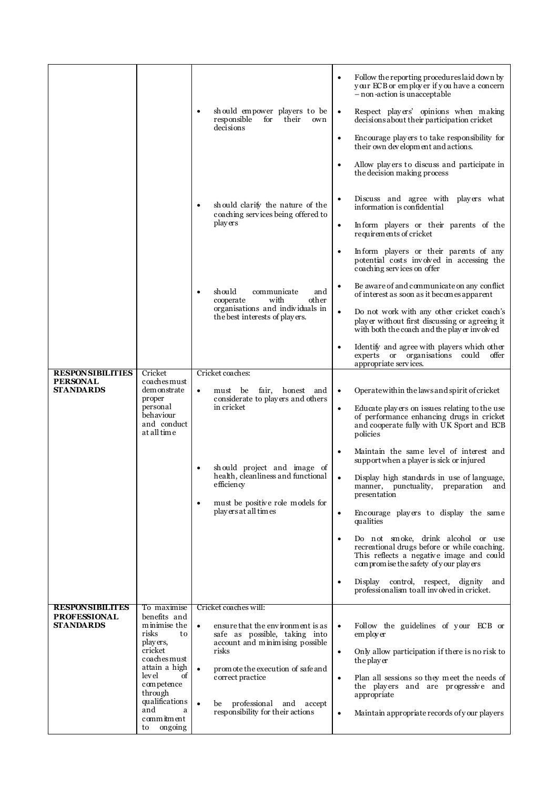|                                         |                                                                                                                                                                                                          |                                                                                                                                                                                                   | Follow the reporting procedures laid down by<br>٠<br>your ECB or employer if you have a concern<br>- non-action is unacceptable                                                      |
|-----------------------------------------|----------------------------------------------------------------------------------------------------------------------------------------------------------------------------------------------------------|---------------------------------------------------------------------------------------------------------------------------------------------------------------------------------------------------|--------------------------------------------------------------------------------------------------------------------------------------------------------------------------------------|
|                                         |                                                                                                                                                                                                          | should empower players to be<br>$\bullet$<br>responsible<br>for<br>their<br>own<br>decisions                                                                                                      | Respect players' opinions when making<br>$\bullet$<br>decisions about their participation cricket                                                                                    |
|                                         |                                                                                                                                                                                                          |                                                                                                                                                                                                   | Encourage players to take responsibility for<br>$\bullet$<br>their own development and actions.                                                                                      |
|                                         |                                                                                                                                                                                                          |                                                                                                                                                                                                   | Allow players to discuss and participate in<br>the decision making process                                                                                                           |
|                                         |                                                                                                                                                                                                          | should clarify the nature of the<br>٠<br>coaching services being offered to                                                                                                                       | Discuss and agree with players what<br>information is confidential                                                                                                                   |
|                                         |                                                                                                                                                                                                          | players                                                                                                                                                                                           | Inform players or their parents of the<br>٠<br>requirements of cricket                                                                                                               |
|                                         |                                                                                                                                                                                                          |                                                                                                                                                                                                   | Inform players or their parents of any<br>$\bullet$<br>potential costs involved in accessing the<br>coaching services on offer                                                       |
|                                         |                                                                                                                                                                                                          | should<br>communicate<br>and<br>$\bullet$<br>with<br>other<br>cooperate<br>organisations and individuals in<br>the best interests of players.                                                     | Be aware of and communicate on any conflict<br>$\bullet$<br>of interest as soon as it becomes apparent                                                                               |
|                                         |                                                                                                                                                                                                          |                                                                                                                                                                                                   | Do not work with any other cricket coach's<br>$\bullet$<br>player without first discussing or agreeing it<br>with both the coach and the player involved                             |
|                                         |                                                                                                                                                                                                          |                                                                                                                                                                                                   | Identify and agree with players which other<br>٠<br>experts or organisations<br>could<br>offer<br>appropriate services.                                                              |
| <b>RESPONSIBILITIES</b>                 | Cricket                                                                                                                                                                                                  | Cricket coaches:                                                                                                                                                                                  |                                                                                                                                                                                      |
| <b>PERSONAL</b><br><b>STANDARDS</b>     | coaches must<br>demonstrate                                                                                                                                                                              | fair,<br>honest and<br>must be<br>$\bullet$                                                                                                                                                       | Operate within the laws and spirit of cricket<br>$\bullet$                                                                                                                           |
|                                         | proper                                                                                                                                                                                                   | considerate to players and others                                                                                                                                                                 |                                                                                                                                                                                      |
|                                         | personal<br>behaviour<br>and conduct<br>at all time                                                                                                                                                      | in cricket                                                                                                                                                                                        | Educate players on issues relating to the use<br>$\bullet$<br>of performance enhancing drugs in cricket<br>and cooperate fully with UK Sport and ECB<br>policies                     |
|                                         |                                                                                                                                                                                                          | should project and image of<br>health, cleanliness and functional<br>efficiency<br>must be positive role models for<br>$\bullet$<br>play ers at all times                                         | Maintain the same level of interest and<br>$\bullet$<br>support when a player is sick or injured                                                                                     |
|                                         |                                                                                                                                                                                                          |                                                                                                                                                                                                   | Display high standards in use of language,<br>$\bullet$<br>manner, punctuality,<br>preparation<br>and<br>presentation                                                                |
|                                         |                                                                                                                                                                                                          |                                                                                                                                                                                                   | Encourage players to display the same<br>٠<br>qualities                                                                                                                              |
|                                         |                                                                                                                                                                                                          |                                                                                                                                                                                                   | Do not smoke, drink alcohol or use<br>$\bullet$<br>recreational drugs before or while coaching.<br>This reflects a negative image and could<br>compromise the safety of your players |
|                                         |                                                                                                                                                                                                          |                                                                                                                                                                                                   | Display control, respect, dignity<br>and<br>٠<br>professionalism to all involved in cricket.                                                                                         |
| <b>RESPONSIBILITES</b>                  | To maximise                                                                                                                                                                                              | Cricket coaches will:                                                                                                                                                                             |                                                                                                                                                                                      |
| <b>PROFESSIONAL</b><br><b>STANDARDS</b> | benefits and<br>minimise the<br>risks<br>to<br>players,<br>cricket<br>coaches must<br>attain a high<br>level<br>οf<br>competence<br>through<br>qualifications<br>and<br>a<br>commitment<br>ongoing<br>to | ensure that the environment is as<br>$\bullet$<br>safe as possible, taking into<br>account and minimising possible<br>risks<br>promote the execution of safe and<br>$\bullet$<br>correct practice | Follow the guidelines of your ECB or<br>employer                                                                                                                                     |
|                                         |                                                                                                                                                                                                          |                                                                                                                                                                                                   | Only allow participation if there is no risk to<br>$\bullet$<br>the player                                                                                                           |
|                                         |                                                                                                                                                                                                          |                                                                                                                                                                                                   | Plan all sessions so they meet the needs of<br>$\bullet$<br>the players and are progressive and<br>appropriate                                                                       |
|                                         |                                                                                                                                                                                                          | professional and accept<br>$\bullet$<br>be<br>responsibility for their actions                                                                                                                    | Maintain appropriate records of your players<br>٠                                                                                                                                    |